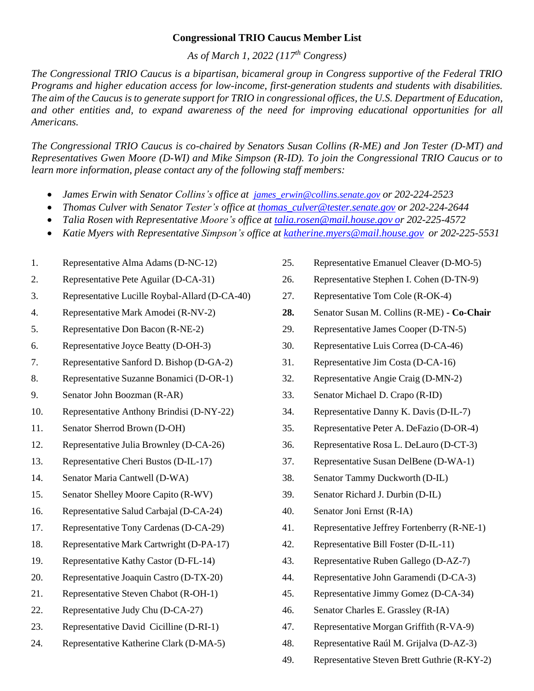## **Congressional TRIO Caucus Member List**

*As of March 1, 2022 (117th Congress)*

*The Congressional TRIO Caucus is a bipartisan, bicameral group in Congress supportive of the Federal TRIO Programs and higher education access for low-income, first-generation students and students with disabilities.* The aim of the Caucus is to generate support for TRIO in congressional offices, the U.S. Department of Education, *and other entities and, to expand awareness of the need for improving educational opportunities for all Americans.*

*The Congressional TRIO Caucus is co-chaired by Senators Susan Collins (R-ME) and Jon Tester (D-MT) and Representatives Gwen Moore (D-WI) and Mike Simpson (R-ID). To join the Congressional TRIO Caucus or to learn more information, please contact any of the following staff members:*

- *James Erwin with Senator Collins's office at [james\\_erwin@collins.senate.gov](mailto:james_erwin@collins.senate.gov) or 202-224-2523*
- *Thomas Culver with Senator Tester's office at [thomas\\_culver@tester.senate.gov](mailto:thomas_culver@tester.senate.gov) or 202-224-2644*
- *Talia Rosen with Representative Moore's office at [talia.rosen@mail.house.gov](mailto:talia.rosen@mail.house.gov%20o) or 202-225-4572*
- *Katie Myers with Representative Simpson's office at [katherine.myers@mail.house.gov](mailto:katherine.myers@mail.house.gov) or 202-225-5531*
- 1. Representative Alma Adams (D-NC-12)
- 2. Representative Pete Aguilar (D-CA-31)
- 3. Representative Lucille Roybal-Allard (D-CA-40)
- 4. Representative Mark Amodei (R-NV-2)
- 5. Representative Don Bacon (R-NE-2)
- 6. Representative Joyce Beatty (D-OH-3)
- 7. Representative Sanford D. Bishop (D-GA-2)
- 8. Representative Suzanne Bonamici (D-OR-1)
- 9. Senator John Boozman (R-AR)
- 10. Representative Anthony Brindisi (D-NY-22)
- 11. Senator Sherrod Brown (D-OH)
- 12. Representative Julia Brownley (D-CA-26)
- 13. Representative Cheri Bustos (D-IL-17)
- 14. Senator Maria Cantwell (D-WA)
- 15. Senator Shelley Moore Capito (R-WV)
- 16. Representative Salud Carbajal (D-CA-24)
- 17. Representative Tony Cardenas (D-CA-29)
- 18. Representative Mark Cartwright (D-PA-17)
- 19. Representative Kathy Castor (D-FL-14)
- 20. Representative Joaquin Castro (D-TX-20)
- 21. Representative Steven Chabot (R-OH-1)
- 22. Representative Judy Chu (D-CA-27)
- 23. Representative David Cicilline (D-RI-1)
- 24. Representative Katherine Clark (D-MA-5)
- 25. Representative Emanuel Cleaver (D-MO-5)
- 26. Representative Stephen I. Cohen (D-TN-9)
- 27. Representative Tom Cole (R-OK-4)
- **28.** Senator Susan M. Collins (R-ME) **- Co-Chair**
- 29. Representative James Cooper (D-TN-5)
- 30. Representative Luis Correa (D-CA-46)
- 31. Representative Jim Costa (D-CA-16)
- 32. Representative Angie Craig (D-MN-2)
- 33. Senator Michael D. Crapo (R-ID)
- 34. Representative Danny K. Davis (D-IL-7)
- 35. Representative Peter A. DeFazio (D-OR-4)
- 36. Representative Rosa L. DeLauro (D-CT-3)
- 37. Representative Susan DelBene (D-WA-1)
- 38. Senator Tammy Duckworth (D-IL)
- 39. Senator Richard J. Durbin (D-IL)
- 40. Senator Joni Ernst (R-IA)
- 41. Representative Jeffrey Fortenberry (R-NE-1)
- 42. Representative Bill Foster (D-IL-11)
- 43. Representative Ruben Gallego (D-AZ-7)
- 44. Representative John Garamendi (D-CA-3)
- 45. Representative Jimmy Gomez (D-CA-34)
- 46. Senator Charles E. Grassley (R-IA)
- 47. Representative Morgan Griffith (R-VA-9)
- 48. Representative Raúl M. Grijalva (D-AZ-3)
- 49. Representative Steven Brett Guthrie (R-KY-2)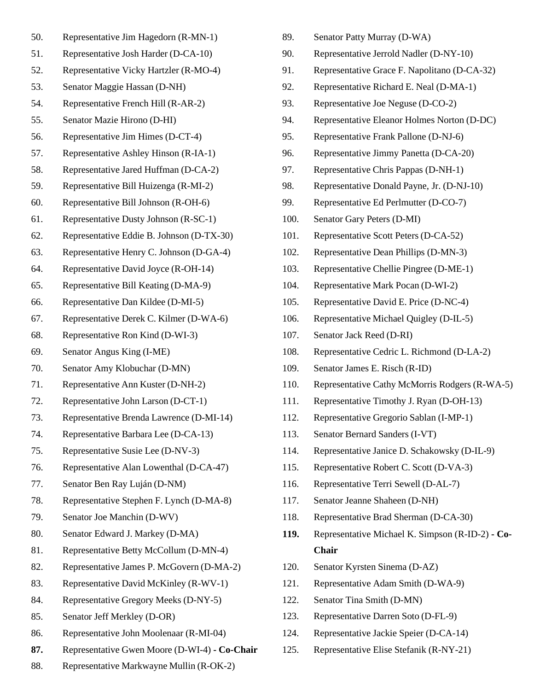- 50. Representative Jim Hagedorn (R-MN-1)
- 51. Representative Josh Harder (D-CA-10)
- 52. Representative Vicky Hartzler (R-MO-4)
- 53. Senator Maggie Hassan (D-NH)
- 54. Representative French Hill (R-AR-2)
- 55. Senator Mazie Hirono (D-HI)
- 56. Representative Jim Himes (D-CT-4)
- 57. Representative Ashley Hinson (R-IA-1)
- 58. Representative Jared Huffman (D-CA-2)
- 59. Representative Bill Huizenga (R-MI-2)
- 60. Representative Bill Johnson (R-OH-6)
- 61. Representative Dusty Johnson (R-SC-1)
- 62. Representative Eddie B. Johnson (D-TX-30)
- 63. Representative Henry C. Johnson (D-GA-4)
- 64. Representative David Joyce (R-OH-14)
- 65. Representative Bill Keating (D-MA-9)
- 66. Representative Dan Kildee (D-MI-5)
- 67. Representative Derek C. Kilmer (D-WA-6)
- 68. Representative Ron Kind (D-WI-3)
- 69. Senator Angus King (I-ME)
- 70. Senator Amy Klobuchar (D-MN)
- 71. Representative Ann Kuster (D-NH-2)
- 72. Representative John Larson (D-CT-1)
- 73. Representative Brenda Lawrence (D-MI-14)
- 74. Representative Barbara Lee (D-CA-13)
- 75. Representative Susie Lee (D-NV-3)
- 76. Representative Alan Lowenthal (D-CA-47)
- 77. Senator Ben Ray Luján (D-NM)
- 78. Representative Stephen F. Lynch (D-MA-8)
- 79. Senator Joe Manchin (D-WV)
- 80. Senator Edward J. Markey (D-MA)
- 81. Representative Betty McCollum (D-MN-4)
- 82. Representative James P. McGovern (D-MA-2)
- 83. Representative David McKinley (R-WV-1)
- 84. Representative Gregory Meeks (D-NY-5)
- 85. Senator Jeff Merkley (D-OR)
- 86. Representative John Moolenaar (R-MI-04)
- **87.** Representative Gwen Moore (D-WI-4) **- Co-Chair**
- 88. Representative Markwayne Mullin (R-OK-2)
- 89. Senator Patty Murray (D-WA)
- 90. Representative Jerrold Nadler (D-NY-10)
- 91. Representative Grace F. Napolitano (D-CA-32)
- 92. Representative Richard E. Neal (D-MA-1)
- 93. Representative Joe Neguse (D-CO-2)
- 94. Representative Eleanor Holmes Norton (D-DC)
- 95. Representative Frank Pallone (D-NJ-6)
- 96. Representative Jimmy Panetta (D-CA-20)
- 97. Representative Chris Pappas (D-NH-1)
- 98. Representative Donald Payne, Jr. (D-NJ-10)
- 99. Representative Ed Perlmutter (D-CO-7)
- 100. Senator Gary Peters (D-MI)
- 101. Representative Scott Peters (D-CA-52)
- 102. Representative Dean Phillips (D-MN-3)
- 103. Representative Chellie Pingree (D-ME-1)
- 104. Representative Mark Pocan (D-WI-2)
- 105. Representative David E. Price (D-NC-4)
- 106. Representative Michael Quigley (D-IL-5)
- 107. Senator Jack Reed (D-RI)
- 108. Representative Cedric L. Richmond (D-LA-2)
- 109. Senator James E. Risch (R-ID)
- 110. Representative Cathy McMorris Rodgers (R-WA-5)
- 111. Representative Timothy J. Ryan (D-OH-13)
- 112. Representative Gregorio Sablan (I-MP-1)
- 113. Senator Bernard Sanders (I-VT)
- 114. Representative Janice D. Schakowsky (D-IL-9)
- 115. Representative Robert C. Scott (D-VA-3)
- 116. Representative Terri Sewell (D-AL-7)
- 117. Senator Jeanne Shaheen (D-NH)
- 118. Representative Brad Sherman (D-CA-30)
- **119.** Representative Michael K. Simpson (R-ID-2) **- Co-Chair**
- 120. Senator Kyrsten Sinema (D-AZ)
- 121. Representative Adam Smith (D-WA-9)
- 122. Senator Tina Smith (D-MN)
- 123. Representative Darren Soto (D-FL-9)
- 124. Representative Jackie Speier (D-CA-14)
- 125. Representative Elise Stefanik (R-NY-21)